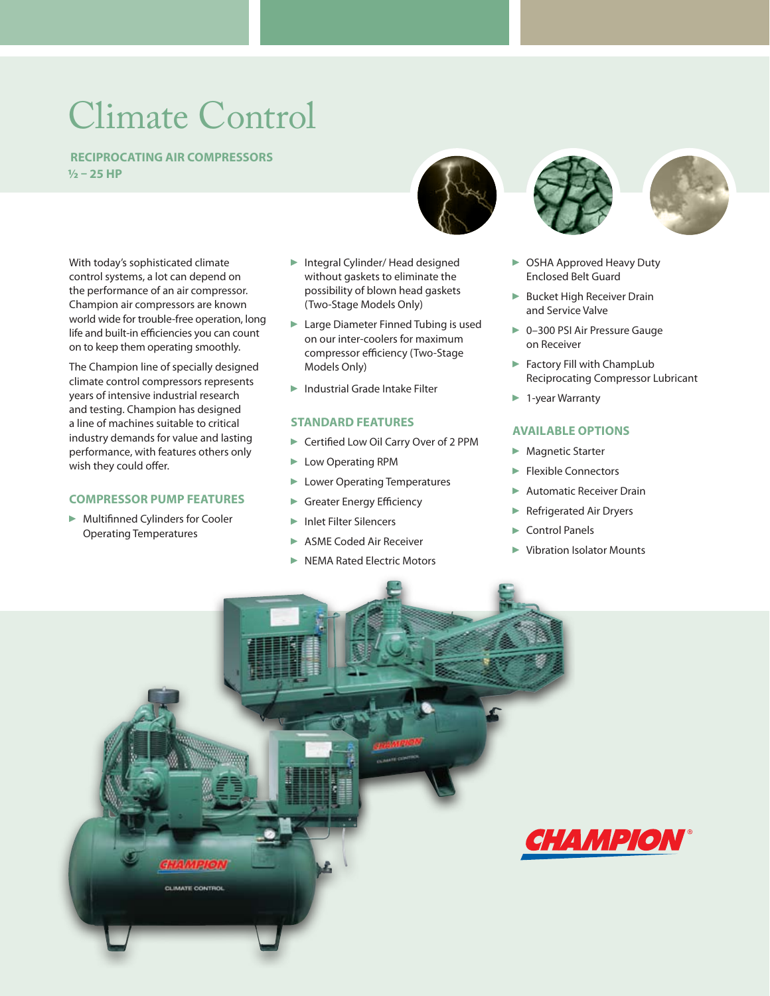# Climate Control

 **Reciprocating Air Compressors ½ – 25 HP**

With today's sophisticated climate control systems, a lot can depend on the performance of an air compressor. Champion air compressors are known world wide for trouble-free operation, long life and built-in efficiencies you can count on to keep them operating smoothly.

The Champion line of specially designed climate control compressors represents years of intensive industrial research and testing. Champion has designed a line of machines suitable to critical industry demands for value and lasting performance, with features others only wish they could offer.

#### **Compressor Pump Features**

 Multifinned Cylinders for Cooler Operating Temperatures

- ▶ Integral Cylinder/ Head designed without gaskets to eliminate the possibility of blown head gaskets (Two-Stage Models Only)
- ► Large Diameter Finned Tubing is used on our inter-coolers for maximum compressor efficiency (Two-Stage Models Only)
- Industrial Grade Intake Filter

#### **Standard Features**

- ▶ Certified Low Oil Carry Over of 2 PPM
- **Low Operating RPM**
- **Lower Operating Temperatures**
- Greater Energy Efficiency
- ▶ Inlet Filter Silencers
- ASME Coded Air Receiver
- NEMA Rated Electric Motors







- ▶ OSHA Approved Heavy Duty Enclosed Belt Guard
- **Bucket High Receiver Drain** and Service Valve
- ▶ 0-300 PSI Air Pressure Gauge on Receiver
- Factory Fill with ChampLub Reciprocating Compressor Lubricant
- ► 1-year Warranty

#### **available options**

- **Magnetic Starter**
- **Flexible Connectors**
- Automatic Receiver Drain
- **Refrigerated Air Dryers**
- ▶ Control Panels
- Vibration Isolator Mounts